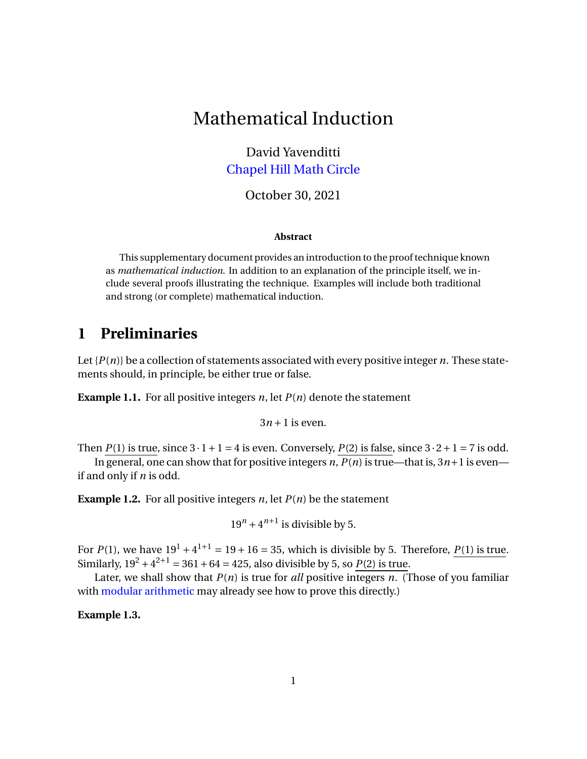# Mathematical Induction

David Yavenditti [Chapel Hill Math Circle](https://chapelhillmathcircle.org/)

October 30, 2021

#### **Abstract**

This supplementary document provides an introduction to the proof technique known as *mathematical induction*. In addition to an explanation of the principle itself, we include several proofs illustrating the technique. Examples will include both traditional and strong (or complete) mathematical induction.

#### **1 Preliminaries**

Let  $\{P(n)\}$  be a collection of statements associated with every positive integer *n*. These statements should, in principle, be either true or false.

**Example 1.1.** For all positive integers  $n$ , let  $P(n)$  denote the statement

 $3n + 1$  is even.

Then  $P(1)$  is true, since  $3 \cdot 1 + 1 = 4$  is even. Conversely,  $P(2)$  is false, since  $3 \cdot 2 + 1 = 7$  is odd.

In general, one can show that for positive integers *n*,  $P(n)$  is true—that is,  $3n+1$  is even if and only if *n* is odd.

<span id="page-0-0"></span>**Example 1.2.** For all positive integers  $n$ , let  $P(n)$  be the statement

 $19^n + 4^{n+1}$  is divisible by 5.

For  $P(1)$ , we have  $19^{1} + 4^{1+1} = 19 + 16 = 35$ , which is divisible by 5. Therefore,  $P(1)$  is true. Similarly,  $19^2 + 4^{2+1} = 361 + 64 = 425$ , also divisible by 5, so  $P(2)$  is true.

Later, we shall show that  $P(n)$  is true for *all* positive integers *n*. (Those of you familiar with [modular arithmetic](https://en.wikipedia.org/wiki/Modular_arithmetic) may already see how to prove this directly.)

**Example 1.3.**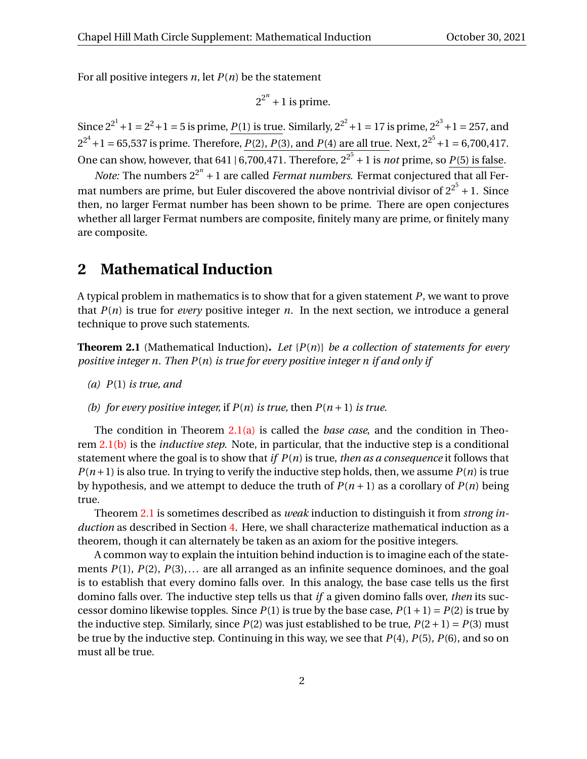For all positive integers *n*, let *P*(*n*) be the statement

$$
2^{2^n} + 1
$$
 is prime.

Since  $2^{2^1} + 1 = 2^2 + 1 = 5$  is prime,  $P(1)$  is true. Similarly,  $2^{2^2} + 1 = 17$  is prime,  $2^{2^3} + 1 = 257$ , and  $2^{2^4} + 1 = 65,537$  is prime. Therefore, *P*(2), *P*(3), and *P*(4) are all true. Next,  $2^{2^5} + 1 = 6,700,417$ . One can show, however, that  $641$  |  $6,700,471$ . Therefore,  $2^{2^5}$  + 1 is *not* prime, so  $P(5)$  is false.

*Note:* The numbers  $2^{2^n} + 1$  are called *Fermat numbers*. Fermat conjectured that all Fermat numbers are prime, but Euler discovered the above nontrivial divisor of  $2^{2^5}$  + 1. Since then, no larger Fermat number has been shown to be prime. There are open conjectures whether all larger Fermat numbers are composite, finitely many are prime, or finitely many are composite.

#### **2 Mathematical Induction**

A typical problem in mathematics is to show that for a given statement *P*, we want to prove that  $P(n)$  is true for *every* positive integer *n*. In the next section, we introduce a general technique to prove such statements.

<span id="page-1-2"></span>**Theorem 2.1** (Mathematical Induction)**.** *Let* {*P*(*n*)} *be a collection of statements for every positive integer n. Then P*(*n*) *is true for every positive integer n if and only if*

- <span id="page-1-0"></span>*(a) P*(1) *is true, and*
- <span id="page-1-1"></span>*(b) for every positive integer,* if  $P(n)$  *is true, then*  $P(n+1)$  *is true.*

The condition in Theorem [2.1\(a\)](#page-1-0) is called the *base case*, and the condition in Theorem [2.1\(b\)](#page-1-1) is the *inductive step*. Note, in particular, that the inductive step is a conditional statement where the goal is to show that *if P*(*n*) is true, *then as a consequence* it follows that  $P(n+1)$  is also true. In trying to verify the inductive step holds, then, we assume  $P(n)$  is true by hypothesis, and we attempt to deduce the truth of  $P(n+1)$  as a corollary of  $P(n)$  being true.

Theorem [2.1](#page-1-2) is sometimes described as *weak* induction to distinguish it from *strong induction* as described in Section [4.](#page-4-0) Here, we shall characterize mathematical induction as a theorem, though it can alternately be taken as an axiom for the positive integers.

A common way to explain the intuition behind induction is to imagine each of the statements *P*(1), *P*(2), *P*(3),... are all arranged as an infinite sequence dominoes, and the goal is to establish that every domino falls over. In this analogy, the base case tells us the first domino falls over. The inductive step tells us that *if* a given domino falls over, *then* its successor domino likewise topples. Since  $P(1)$  is true by the base case,  $P(1+1) = P(2)$  is true by the inductive step. Similarly, since  $P(2)$  was just established to be true,  $P(2+1) = P(3)$  must be true by the inductive step. Continuing in this way, we see that *P*(4), *P*(5), *P*(6), and so on must all be true.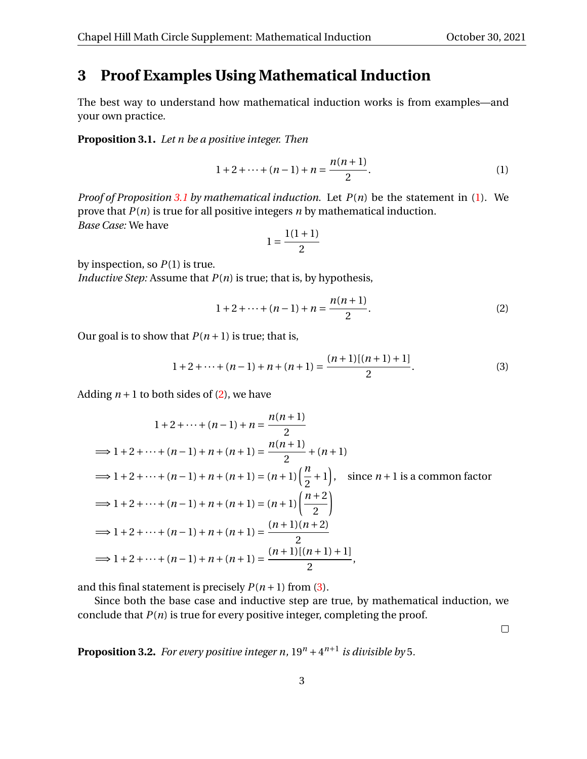## <span id="page-2-5"></span>**3 Proof Examples Using Mathematical Induction**

The best way to understand how mathematical induction works is from examples—and your own practice.

<span id="page-2-0"></span>**Proposition 3.1.** *Let n be a positive integer. Then*

<span id="page-2-1"></span>
$$
1 + 2 + \dots + (n - 1) + n = \frac{n(n + 1)}{2}.
$$
 (1)

*Proof of Proposition [3.1](#page-2-0) by mathematical induction.* Let *P*(*n*) be the statement in [\(1\)](#page-2-1). We prove that *P*(*n*) is true for all positive integers *n* by mathematical induction. *Base Case:* We have

<span id="page-2-2"></span>
$$
1 = \frac{1(1+1)}{2}
$$

by inspection, so *P*(1) is true.

*Inductive Step:* Assume that *P*(*n*) is true; that is, by hypothesis,

<span id="page-2-3"></span>
$$
1 + 2 + \dots + (n - 1) + n = \frac{n(n + 1)}{2}.
$$
 (2)

Our goal is to show that  $P(n+1)$  is true; that is,

$$
1 + 2 + \dots + (n - 1) + n + (n + 1) = \frac{(n + 1)[(n + 1) + 1]}{2}.
$$
 (3)

Adding  $n+1$  to both sides of [\(2\)](#page-2-2), we have

$$
1 + 2 + \dots + (n - 1) + n = \frac{n(n + 1)}{2}
$$
  
\n
$$
\implies 1 + 2 + \dots + (n - 1) + n + (n + 1) = \frac{n(n + 1)}{2} + (n + 1)
$$
  
\n
$$
\implies 1 + 2 + \dots + (n - 1) + n + (n + 1) = (n + 1) \left(\frac{n}{2} + 1\right), \text{ since } n + 1 \text{ is a common factor}
$$
  
\n
$$
\implies 1 + 2 + \dots + (n - 1) + n + (n + 1) = (n + 1) \left(\frac{n + 2}{2}\right)
$$
  
\n
$$
\implies 1 + 2 + \dots + (n - 1) + n + (n + 1) = \frac{(n + 1)(n + 2)}{2}
$$
  
\n
$$
\implies 1 + 2 + \dots + (n - 1) + n + (n + 1) = \frac{(n + 1)[(n + 1) + 1]}{2},
$$

and this final statement is precisely  $P(n+1)$  from [\(3\)](#page-2-3).

Since both the base case and inductive step are true, by mathematical induction, we conclude that  $P(n)$  is true for every positive integer, completing the proof.

 $\Box$ 

<span id="page-2-4"></span>**Proposition 3.2.** For every positive integer n,  $19^n + 4^{n+1}$  is divisible by 5.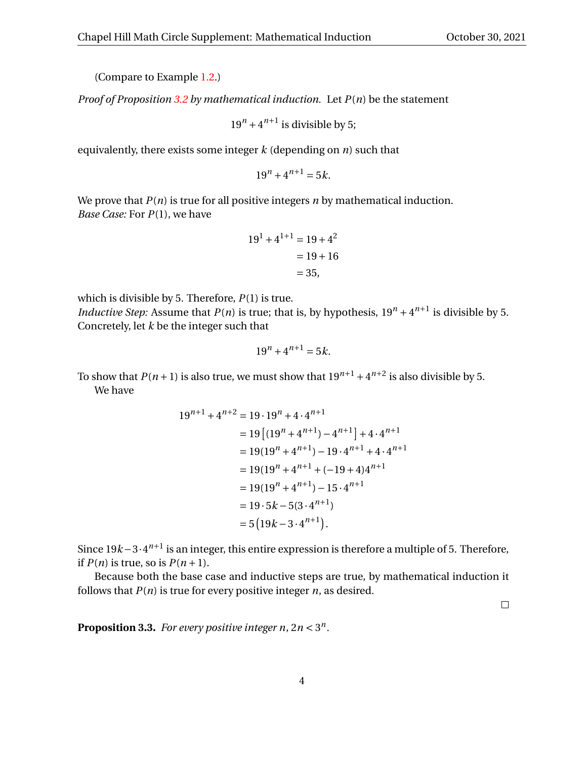(Compare to Example [1.2.](#page-0-0))

*Proof of Proposition [3.2](#page-2-4) by mathematical induction.* Let *P*(*n*) be the statement

 $19^n + 4^{n+1}$  is divisible by 5;

equivalently, there exists some integer *k* (depending on *n*) such that

 $19^n + 4^{n+1} = 5k$ .

We prove that  $P(n)$  is true for all positive integers  $n$  by mathematical induction. *Base Case:* For *P*(1), we have

$$
191 + 41+1 = 19 + 42
$$
  
= 19 + 16  
= 35,

which is divisible by 5. Therefore, *P*(1) is true. *Inductive Step:* Assume that  $P(n)$  is true; that is, by hypothesis,  $19^n + 4^{n+1}$  is divisible by 5. Concretely, let *k* be the integer such that

$$
19^n + 4^{n+1} = 5k.
$$

To show that  $P(n+1)$  is also true, we must show that  $19^{n+1} + 4^{n+2}$  is also divisible by 5. We have

$$
19^{n+1} + 4^{n+2} = 19 \cdot 19^{n} + 4 \cdot 4^{n+1}
$$
  
=  $19 [(19^{n} + 4^{n+1}) - 4^{n+1}] + 4 \cdot 4^{n+1}$   
=  $19(19^{n} + 4^{n+1}) - 19 \cdot 4^{n+1} + 4 \cdot 4^{n+1}$   
=  $19(19^{n} + 4^{n+1} + (-19 + 4)4^{n+1}$   
=  $19(19^{n} + 4^{n+1}) - 15 \cdot 4^{n+1}$   
=  $19 \cdot 5k - 5(3 \cdot 4^{n+1})$   
=  $5(19k - 3 \cdot 4^{n+1}).$ 

Since 19*k* − 3·4<sup>*n*+1</sup> is an integer, this entire expression is therefore a multiple of 5. Therefore, if  $P(n)$  is true, so is  $P(n+1)$ .

Because both the base case and inductive steps are true, by mathematical induction it follows that  $P(n)$  is true for every positive integer  $n$ , as desired.

 $\Box$ 

<span id="page-3-0"></span>**Proposition 3.3.** For every positive integer  $n, 2n < 3^n$ .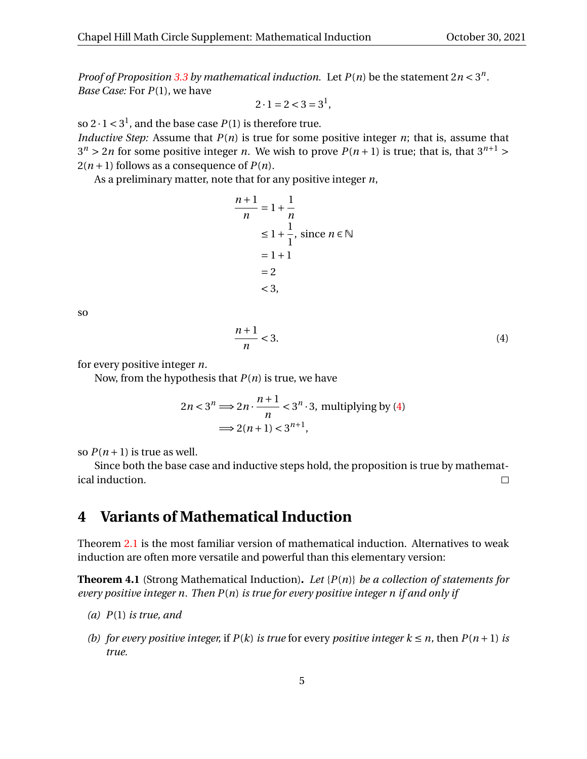*Proof of Proposition* [3.3](#page-3-0) *by mathematical induction.* Let  $P(n)$  be the statement  $2n < 3<sup>n</sup>$ . *Base Case:* For *P*(1), we have

$$
2 \cdot 1 = 2 < 3 = 3^1
$$

so  $2 \cdot 1 < 3^1$ , and the base case  $P(1)$  is therefore true.

*Inductive Step:* Assume that *P(n)* is true for some positive integer *n*; that is, assume that  $3^n > 2n$  for some positive integer *n*. We wish to prove  $P(n + 1)$  is true; that is, that  $3^{n+1} >$  $2(n+1)$  follows as a consequence of  $P(n)$ .

As a preliminary matter, note that for any positive integer *n*,

$$
\frac{n+1}{n} = 1 + \frac{1}{n}
$$
  
\n
$$
\leq 1 + \frac{1}{1}, \text{ since } n \in \mathbb{N}
$$
  
\n
$$
= 1 + 1
$$
  
\n
$$
= 2
$$
  
\n
$$
< 3,
$$

so

<span id="page-4-1"></span>
$$
\frac{n+1}{n} < 3. \tag{4}
$$

for every positive integer *n*.

Now, from the hypothesis that *P*(*n*) is true, we have

$$
2n < 3^n \Longrightarrow 2n \cdot \frac{n+1}{n} < 3^n \cdot 3, \text{ multiplying by (4)}
$$
  

$$
\Longrightarrow 2(n+1) < 3^{n+1},
$$

so  $P(n+1)$  is true as well.

Since both the base case and inductive steps hold, the proposition is true by mathematical induction.  $\Box$ 

## <span id="page-4-0"></span>**4 Variants of Mathematical Induction**

Theorem [2.1](#page-1-2) is the most familiar version of mathematical induction. Alternatives to weak induction are often more versatile and powerful than this elementary version:

<span id="page-4-2"></span>**Theorem 4.1** (Strong Mathematical Induction)**.** *Let* {*P*(*n*)} *be a collection of statements for every positive integer n. Then P*(*n*) *is true for every positive integer n if and only if*

- *(a) P*(1) *is true, and*
- *(b) for every positive integer,* if  $P(k)$  *is true* for every *positive integer*  $k \leq n$ , then  $P(n+1)$  *is true.*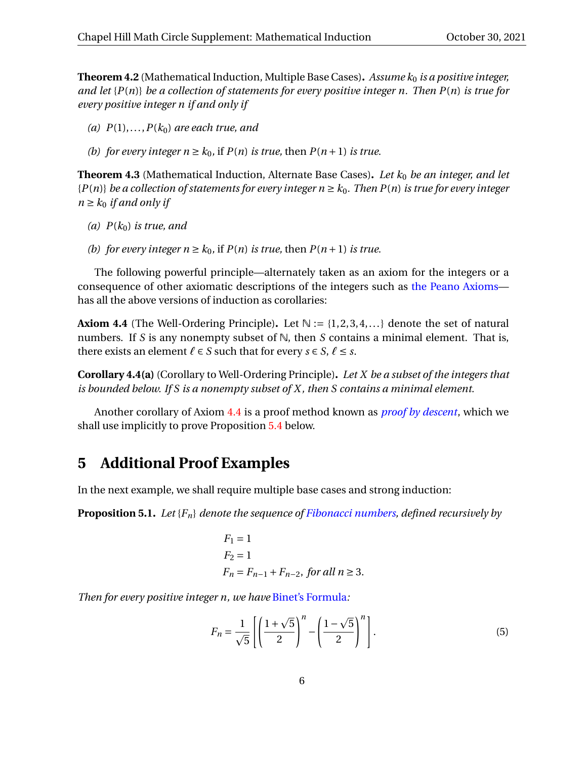<span id="page-5-2"></span>**Theorem 4.2** (Mathematical Induction, Multiple Base Cases). Assume  $k_0$  is a positive integer, *and let* {*P*(*n*)} *be a collection of statements for every positive integer n. Then P*(*n*) *is true for every positive integer n if and only if*

- $P(1), \ldots, P(k_0)$  *are each true, and*
- *(b) for every integer*  $n \geq k_0$ , if  $P(n)$  *is true, then*  $P(n+1)$  *is true.*

**Theorem 4.3** (Mathematical Induction, Alternate Base Cases)**.** *Let k*<sup>0</sup> *be an integer, and let*  ${P(n)}$  *be a collection of statements for every integer*  $n \geq k_0$ *. Then*  $P(n)$  *is true for every integer*  $n \geq k_0$  *if and only if* 

- (a)  $P(k_0)$  *is true, and*
- *(b) for every integer*  $n \geq k_0$ *,* if  $P(n)$  *is true, then*  $P(n+1)$  *is true.*

The following powerful principle—alternately taken as an axiom for the integers or a consequence of other axiomatic descriptions of the integers such as [the Peano Axioms](https://en.wikipedia.org/wiki/Peano_axioms) has all the above versions of induction as corollaries:

<span id="page-5-0"></span>**Axiom 4.4** (The Well-Ordering Principle). Let  $\mathbb{N} := \{1,2,3,4,...\}$  denote the set of natural numbers. If *S* is any nonempty subset of N, then *S* contains a minimal element. That is, there exists an element  $\ell \in S$  such that for every  $s \in S$ ,  $\ell \leq s$ .

**Corollary 4.4(a)** (Corollary to Well-Ordering Principle)**.** *Let X be a subset of the integers that is bounded below. If S is a nonempty subset of X , then S contains a minimal element.*

Another corollary of Axiom [4.4](#page-5-0) is a proof method known as *[proof by descent](https://en.wikipedia.org/wiki/Proof_by_infinite_descent)*, which we shall use implicitly to prove Proposition [5.4](#page-11-0) below.

#### **5 Additional Proof Examples**

In the next example, we shall require multiple base cases and strong induction:

<span id="page-5-1"></span>**Proposition 5.1.** *Let* {*Fn*} *denote the sequence of [Fibonacci numbers,](https://en.wikipedia.org/wiki/Fibonacci_number) defined recursively by*

$$
F_1 = 1
$$
  
\n
$$
F_2 = 1
$$
  
\n
$$
F_n = F_{n-1} + F_{n-2}, \text{ for all } n \ge 3.
$$

*Then for every positive integer n, we have* [Binet's Formula](https://en.wikipedia.org/wiki/Fibonacci_number#Closed-form_expression)*:*

$$
F_n = \frac{1}{\sqrt{5}} \left[ \left( \frac{1+\sqrt{5}}{2} \right)^n - \left( \frac{1-\sqrt{5}}{2} \right)^n \right].
$$
 (5)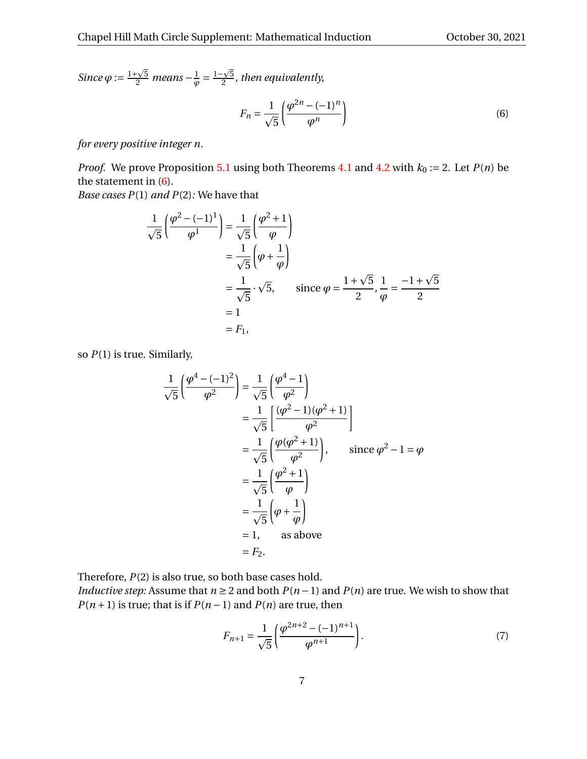*Since*  $\varphi := \frac{1+\sqrt{2}}{2}$  $\frac{1}{2}$ <sup>√5</sup> means – $\frac{1}{\varphi}$  $\frac{1}{\varphi} = \frac{1-\sqrt{2}}{2}$ 5  $\frac{1}{2}$ <sup>2</sup>, then equivalently,

<span id="page-6-0"></span>
$$
F_n = \frac{1}{\sqrt{5}} \left( \frac{\varphi^{2n} - (-1)^n}{\varphi^n} \right) \tag{6}
$$

*for every positive integer n.*

*Proof.* We prove Proposition [5.1](#page-5-1) using both Theorems [4.1](#page-4-2) and [4.2](#page-5-2) with  $k_0 := 2$ . Let  $P(n)$  be the statement in [\(6\)](#page-6-0).

*Base cases P*(1) *and P*(2)*:* We have that

$$
\frac{1}{\sqrt{5}} \left( \frac{\varphi^2 - (-1)^1}{\varphi^1} \right) = \frac{1}{\sqrt{5}} \left( \frac{\varphi^2 + 1}{\varphi} \right)
$$
  
\n
$$
= \frac{1}{\sqrt{5}} \left( \varphi + \frac{1}{\varphi} \right)
$$
  
\n
$$
= \frac{1}{\sqrt{5}} \cdot \sqrt{5}, \qquad \text{since } \varphi = \frac{1 + \sqrt{5}}{2}, \frac{1}{\varphi} = \frac{-1 + \sqrt{5}}{2}
$$
  
\n
$$
= 1
$$
  
\n
$$
= F_1,
$$

so *P*(1) is true. Similarly,

$$
\frac{1}{\sqrt{5}}\left(\frac{\varphi^4 - (-1)^2}{\varphi^2}\right) = \frac{1}{\sqrt{5}}\left(\frac{\varphi^4 - 1}{\varphi^2}\right)
$$
  
\n
$$
= \frac{1}{\sqrt{5}}\left[\frac{(\varphi^2 - 1)(\varphi^2 + 1)}{\varphi^2}\right]
$$
  
\n
$$
= \frac{1}{\sqrt{5}}\left(\frac{\varphi(\varphi^2 + 1)}{\varphi^2}\right), \quad \text{since } \varphi^2 - 1 = \varphi
$$
  
\n
$$
= \frac{1}{\sqrt{5}}\left(\frac{\varphi^2 + 1}{\varphi}\right)
$$
  
\n
$$
= \frac{1}{\sqrt{5}}\left(\varphi + \frac{1}{\varphi}\right)
$$
  
\n
$$
= 1, \quad \text{as above}
$$
  
\n
$$
= F_2.
$$

Therefore,  $P(2)$  is also true, so both base cases hold.

*Inductive step:* Assume that  $n \ge 2$  and both  $P(n-1)$  and  $P(n)$  are true. We wish to show that *P*( $n+1$ ) is true; that is if *P*( $n-1$ ) and *P*( $n$ ) are true, then

$$
F_{n+1} = \frac{1}{\sqrt{5}} \left( \frac{\varphi^{2n+2} - (-1)^{n+1}}{\varphi^{n+1}} \right). \tag{7}
$$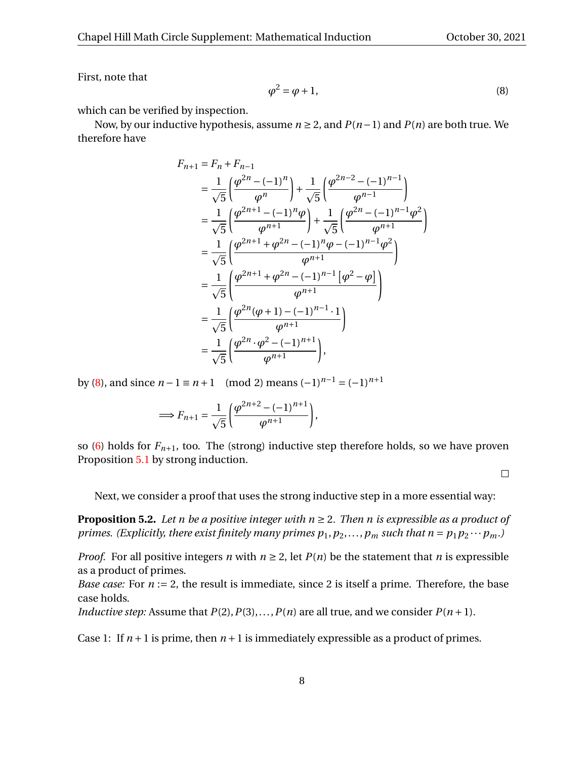<span id="page-7-0"></span>First, note that

$$
\varphi^2 = \varphi + 1,\tag{8}
$$

which can be verified by inspection.

Now, by our inductive hypothesis, assume *n* ≥ 2, and *P*(*n*−1) and *P*(*n*) are both true. We therefore have

$$
F_{n+1} = F_n + F_{n-1}
$$
  
=  $\frac{1}{\sqrt{5}} \left( \frac{\varphi^{2n} - (-1)^n}{\varphi^n} \right) + \frac{1}{\sqrt{5}} \left( \frac{\varphi^{2n-2} - (-1)^{n-1}}{\varphi^{n-1}} \right)$   
=  $\frac{1}{\sqrt{5}} \left( \frac{\varphi^{2n+1} - (-1)^n \varphi}{\varphi^{n+1}} \right) + \frac{1}{\sqrt{5}} \left( \frac{\varphi^{2n} - (-1)^{n-1} \varphi^2}{\varphi^{n+1}} \right)$   
=  $\frac{1}{\sqrt{5}} \left( \frac{\varphi^{2n+1} + \varphi^{2n} - (-1)^n \varphi - (-1)^{n-1} \varphi^2}{\varphi^{n+1}} \right)$   
=  $\frac{1}{\sqrt{5}} \left( \frac{\varphi^{2n+1} + \varphi^{2n} - (-1)^{n-1} \left[ \varphi^2 - \varphi \right]}{\varphi^{n+1}} \right)$   
=  $\frac{1}{\sqrt{5}} \left( \frac{\varphi^{2n} (\varphi + 1) - (-1)^{n-1} \cdot 1}{\varphi^{n+1}} \right)$   
=  $\frac{1}{\sqrt{5}} \left( \frac{\varphi^{2n} \cdot \varphi^2 - (-1)^{n+1}}{\varphi^{n+1}} \right),$ 

by [\(8\)](#page-7-0), and since  $n-1 \equiv n+1 \pmod{2}$  means  $(-1)^{n-1} = (-1)^{n+1}$ 

$$
\Longrightarrow F_{n+1} = \frac{1}{\sqrt{5}} \left( \frac{\varphi^{2n+2} - (-1)^{n+1}}{\varphi^{n+1}} \right),\,
$$

so [\(6\)](#page-6-0) holds for  $F_{n+1}$ , too. The (strong) inductive step therefore holds, so we have proven Proposition [5.1](#page-5-1) by strong induction.

 $\Box$ 

Next, we consider a proof that uses the strong inductive step in a more essential way:

<span id="page-7-2"></span>**Proposition 5.2.** *Let n be a positive integer with*  $n \geq 2$ *. Then n is expressible as a product of primes. (Explicitly, there exist finitely many primes*  $p_1, p_2,...,p_m$  *such that*  $n = p_1p_2\cdots p_m$ *.)* 

*Proof.* For all positive integers *n* with  $n \ge 2$ , let  $P(n)$  be the statement that *n* is expressible as a product of primes.

*Base case:* For  $n := 2$ , the result is immediate, since 2 is itself a prime. Therefore, the base case holds.

*Inductive step:* Assume that  $P(2), P(3), \ldots, P(n)$  are all true, and we consider  $P(n+1)$ .

<span id="page-7-1"></span>Case 1: If  $n+1$  is prime, then  $n+1$  is immediately expressible as a product of primes.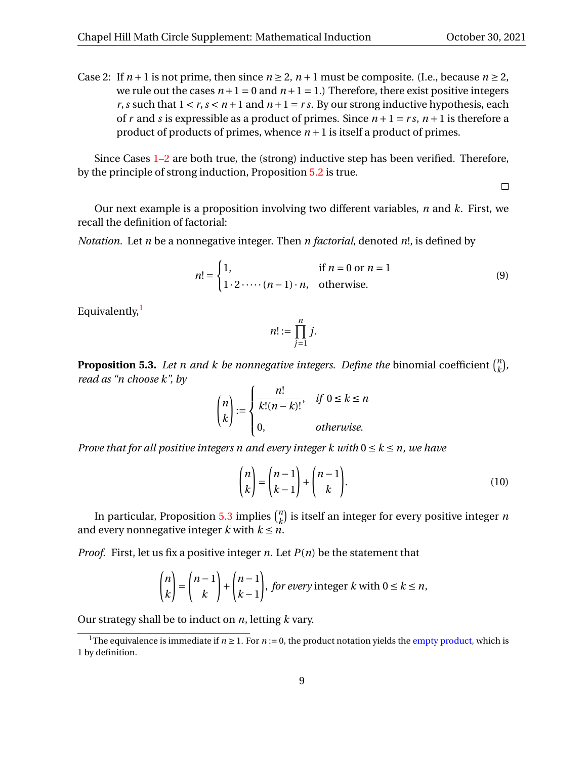<span id="page-8-0"></span>Since Cases [1–](#page-7-1)[2](#page-8-0) are both true, the (strong) inductive step has been verified. Therefore, by the principle of strong induction, Proposition [5.2](#page-7-2) is true.

 $\Box$ 

Our next example is a proposition involving two different variables, *n* and *k*. First, we recall the definition of factorial:

*Notation.* Let *n* be a nonnegative integer. Then *n factorial*, denoted *n*!, is defined by

$$
n! = \begin{cases} 1, & \text{if } n = 0 \text{ or } n = 1 \\ 1 \cdot 2 \cdot \cdots \cdot (n-1) \cdot n, & \text{otherwise.} \end{cases} \tag{9}
$$

Equivalently, $<sup>1</sup>$  $<sup>1</sup>$  $<sup>1</sup>$ </sup>

$$
n! := \prod_{j=1}^n j.
$$

<span id="page-8-2"></span>**Proposition 5.3.** Let *n and k be nonnegative integers. Define the* binomial coefficient  $\binom{n}{k}$ *k* ¢ *, read as "n choose k", by*

$$
\binom{n}{k} := \begin{cases} \frac{n!}{k!(n-k)!}, & \text{if } 0 \le k \le n \\ 0, & \text{otherwise.} \end{cases}
$$

*Prove that for all positive integers n and every integer k with*  $0 \le k \le n$ , we have

<span id="page-8-3"></span>
$$
\binom{n}{k} = \binom{n-1}{k-1} + \binom{n-1}{k}.
$$
\n(10)

In particular, Proposition [5.3](#page-8-2) implies  $\binom{n}{k}$  $\binom{n}{k}$  is itself an integer for every positive integer *n* and every nonnegative integer  $k$  with  $k \leq n$ .

*Proof.* First, let us fix a positive integer *n*. Let  $P(n)$  be the statement that

$$
\binom{n}{k} = \binom{n-1}{k} + \binom{n-1}{k-1}, \text{ for every integer } k \text{ with } 0 \le k \le n,
$$

Our strategy shall be to induct on *n*, letting *k* vary.

<span id="page-8-1"></span><sup>&</sup>lt;sup>1</sup>The equivalence is immediate if  $n \ge 1$ . For  $n := 0$ , the product notation yields the [empty product,](https://en.wikipedia.org/wiki/Empty_product) which is 1 by definition.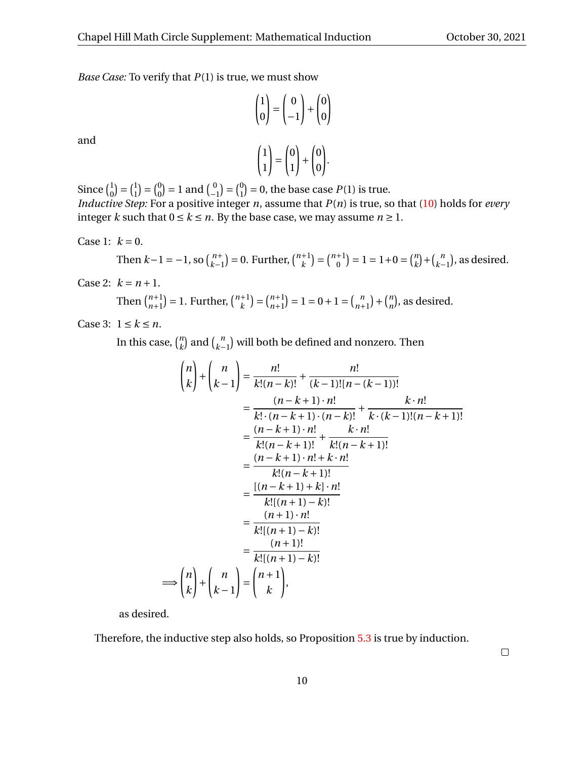*Base Case:* To verify that *P*(1) is true, we must show

$$
\begin{pmatrix} 1 \\ 0 \end{pmatrix} = \begin{pmatrix} 0 \\ -1 \end{pmatrix} + \begin{pmatrix} 0 \\ 0 \end{pmatrix}
$$

and

$$
\begin{pmatrix} 1 \\ 1 \end{pmatrix} = \begin{pmatrix} 0 \\ 1 \end{pmatrix} + \begin{pmatrix} 0 \\ 0 \end{pmatrix}.
$$

Since  $\binom{1}{0}$  $\begin{pmatrix} 1 \\ 0 \end{pmatrix} = \begin{pmatrix} 1 \\ 1 \end{pmatrix}$  $\binom{1}{1} = \binom{0}{0}$  $\binom{0}{0}$  = 1 and  $\binom{0}{-1}$  =  $\binom{0}{1}$  $\binom{0}{1}$  = 0, the base case *P*(1) is true. *Inductive Step:* For a positive integer *n*, assume that *P*(*n*) is true, so that [\(10\)](#page-8-3) holds for *every* integer *k* such that  $0 \le k \le n$ . By the base case, we may assume  $n \ge 1$ .

Case 1: 
$$
k = 0
$$
.

Then 
$$
k-1 = -1
$$
, so  $\binom{n+1}{k-1} = 0$ . Further,  $\binom{n+1}{k} = \binom{n+1}{0} = 1 = 1 + 0 = \binom{n}{k} + \binom{n}{k-1}$ , as desired.

Case 2:  $k = n + 1$ .

Then 
$$
\binom{n+1}{n+1} = 1
$$
. Further,  $\binom{n+1}{k} = \binom{n+1}{n+1} = 1 = 0 + 1 = \binom{n}{n+1} + \binom{n}{n}$ , as desired.

Case 3:  $1 \leq k \leq n$ .

In this case,  $\binom{n}{k}$  $\binom{n}{k}$  and  $\binom{n}{k-1}$  will both be defined and nonzero. Then

$$
\binom{n}{k} + \binom{n}{k-1} = \frac{n!}{k!(n-k)!} + \frac{n!}{(k-1)![n-(k-1)]!}
$$
\n
$$
= \frac{(n-k+1) \cdot n!}{k! \cdot (n-k+1) \cdot (n-k)!} + \frac{k \cdot n!}{k \cdot (k-1)!(n-k+1)!}
$$
\n
$$
= \frac{(n-k+1) \cdot n!}{k!(n-k+1)!} + \frac{k \cdot n!}{k!(n-k+1)!}
$$
\n
$$
= \frac{(n-k+1) \cdot n! + k \cdot n!}{k!(n-k+1)!}
$$
\n
$$
= \frac{\frac{(n-k+1) \cdot k!}{k![(n+1) - k)!}}{\frac{(n+1) \cdot n!}{k![(n+1) - k)!}}
$$
\n
$$
= \frac{(n+1)!}{k![(n+1) - k)!}
$$
\n
$$
= \frac{(n+1)!}{k![(n+1) - k)!}
$$

as desired.

Therefore, the inductive step also holds, so Proposition [5.3](#page-8-2) is true by induction.

 $\Box$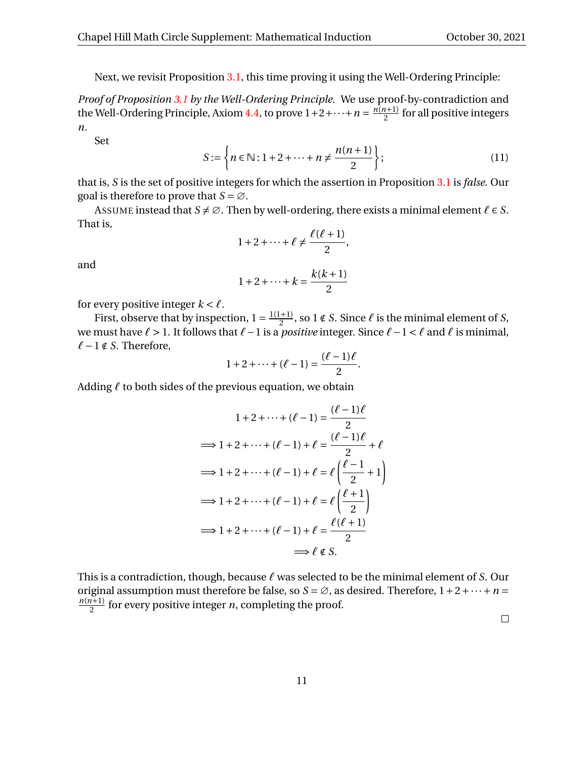Next, we revisit Proposition [3.1,](#page-2-0) this time proving it using the Well-Ordering Principle:

*Proof of Proposition [3.1](#page-2-0) by the Well-Ordering Principle.* We use proof-by-contradiction and the Well-Ordering Principle, Axiom [4.4,](#page-5-0) to prove  $1+2+\cdots+n=\frac{n(n+1)}{2}$  $\frac{1}{2}$  for all positive integers *n*.

Set

$$
S := \left\{ n \in \mathbb{N} : 1 + 2 + \dots + n \neq \frac{n(n+1)}{2} \right\};
$$
 (11)

that is, *S* is the set of positive integers for which the assertion in Proposition [3.1](#page-2-0) is *false*. Our goal is therefore to prove that  $S = \emptyset$ .

ASSUME instead that  $S \neq \emptyset$ . Then by well-ordering, there exists a minimal element  $\ell \in S$ . That is,

$$
1+2+\cdots+\ell\neq\frac{\ell(\ell+1)}{2},
$$

and

$$
1+2+\cdots+k=\frac{k(k+1)}{2}
$$

for every positive integer  $k < \ell$ .

First, observe that by inspection,  $1 = \frac{1(1+1)}{2}$  $\frac{1+1}{2}$ , so  $1 \notin S$ . Since  $\ell$  is the minimal element of *S*, we must have *ℓ* > 1. It follows that *ℓ*−1 is a *positive* integer. Since *ℓ*−1 < *ℓ* and *ℓ* is minimal, *ℓ*−1 ∉ *S*. Therefore,

$$
1 + 2 + \cdots + (\ell - 1) = \frac{(\ell - 1)\ell}{2}.
$$

Adding *ℓ* to both sides of the previous equation, we obtain

$$
1 + 2 + \dots + (\ell - 1) = \frac{(\ell - 1)\ell}{2}
$$

$$
\implies 1 + 2 + \dots + (\ell - 1) + \ell = \frac{(\ell - 1)\ell}{2} + \ell
$$

$$
\implies 1 + 2 + \dots + (\ell - 1) + \ell = \ell \left(\frac{\ell - 1}{2} + 1\right)
$$

$$
\implies 1 + 2 + \dots + (\ell - 1) + \ell = \ell \left(\frac{\ell + 1}{2}\right)
$$

$$
\implies 1 + 2 + \dots + (\ell - 1) + \ell = \frac{\ell(\ell + 1)}{2}
$$

$$
\implies \ell \notin S.
$$

This is a contradiction, though, because *ℓ* was selected to be the minimal element of *S*. Our original assumption must therefore be false, so  $S = \emptyset$ , as desired. Therefore,  $1 + 2 + \cdots + n =$ *n*(*n*+1)  $\frac{1}{2}$  for every positive integer *n*, completing the proof.

 $\Box$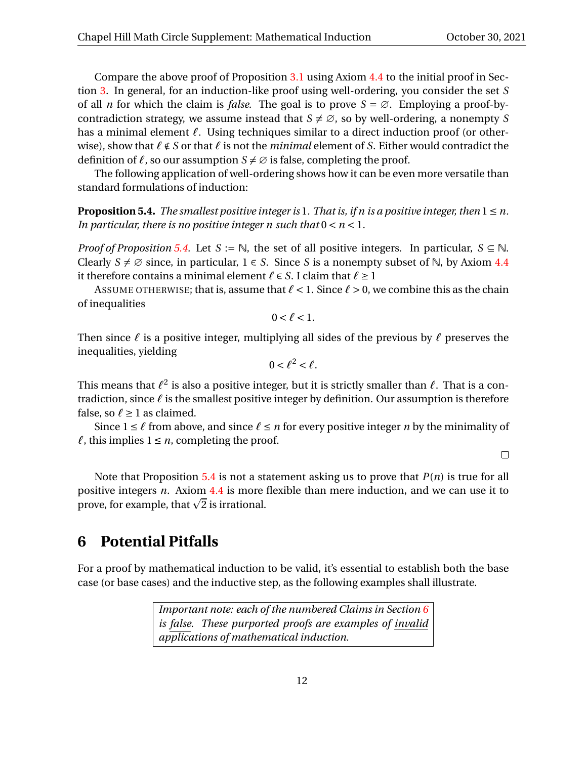Compare the above proof of Proposition [3.1](#page-2-0) using Axiom [4.4](#page-5-0) to the initial proof in Section [3.](#page-2-5) In general, for an induction-like proof using well-ordering, you consider the set *S* of all *n* for which the claim is *false*. The goal is to prove  $S = \emptyset$ . Employing a proof-bycontradiction strategy, we assume instead that  $S \neq \emptyset$ , so by well-ordering, a nonempty *S* has a minimal element *ℓ*. Using techniques similar to a direct induction proof (or otherwise), show that *ℓ* ∉ *S* or that *ℓ* is not the *minimal* element of *S*. Either would contradict the definition of  $\ell$ , so our assumption  $S \neq \emptyset$  is false, completing the proof.

The following application of well-ordering shows how it can be even more versatile than standard formulations of induction:

<span id="page-11-0"></span>**Proposition 5.4.** *The smallest positive integer is* 1. *That is, if n is a positive integer, then*  $1 \leq n$ . *In particular, there is no positive integer n such that*  $0 < n < 1$ *.* 

*Proof of Proposition* [5.4.](#page-11-0) Let  $S := \mathbb{N}$ , the set of all positive integers. In particular,  $S \subseteq \mathbb{N}$ . Clearly  $S \neq \emptyset$  since, in particular,  $1 \in S$ . Since *S* is a nonempty subset of N, by Axiom [4.4](#page-5-0) it therefore contains a minimal element  $\ell \in S$ . I claim that  $\ell \geq 1$ 

ASSUME OTHERWISE; that is, assume that  $\ell < 1$ . Since  $\ell > 0$ , we combine this as the chain of inequalities

$$
0<\ell<1.
$$

Then since *ℓ* is a positive integer, multiplying all sides of the previous by *ℓ* preserves the inequalities, yielding

$$
0<\ell^2<\ell.
$$

This means that  $\ell^2$  is also a positive integer, but it is strictly smaller than  $\ell.$  That is a contradiction, since *ℓ* is the smallest positive integer by definition. Our assumption is therefore false, so  $\ell \geq 1$  as claimed.

Since  $1 \leq \ell$  from above, and since  $\ell \leq n$  for every positive integer *n* by the minimality of  $\ell$ , this implies  $1 \leq n$ , completing the proof.

 $\Box$ 

Note that Proposition [5.4](#page-11-0) is not a statement asking us to prove that *P*(*n*) is true for all positive integers *n*. Axiom [4.4](#page-5-0) is more flexible than mere induction, and we can use it to positive integers *n*. Axiom 4.4 is more<br>prove, for example, that  $\sqrt{2}$  is irrational.

# <span id="page-11-1"></span>**6 Potential Pitfalls**

For a proof by mathematical induction to be valid, it's essential to establish both the base case (or base cases) and the inductive step, as the following examples shall illustrate.

> *Important note: each of the numbered Claims in Section [6](#page-11-1) is false. These purported proofs are examples of invalid applications of mathematical induction.*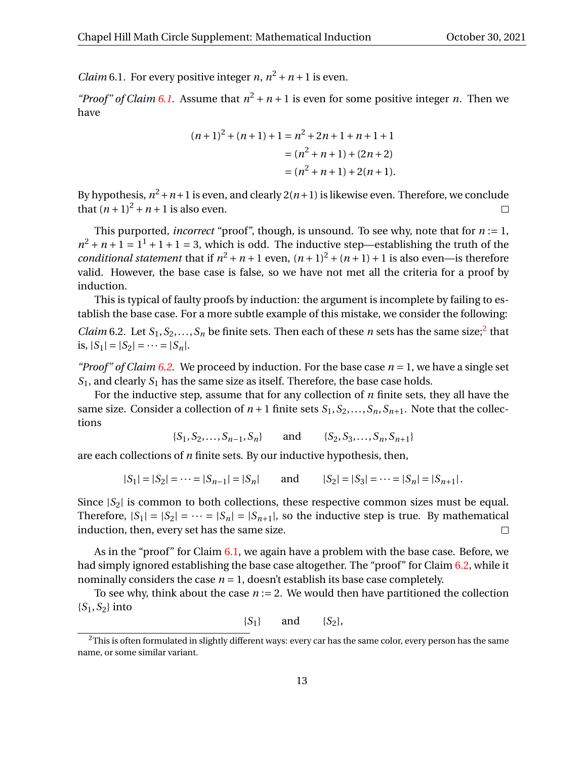<span id="page-12-0"></span>*Claim* 6.1. For every positive integer *n*,  $n^2 + n + 1$  is even.

*"Proof" of Claim [6.1.](#page-12-0)* Assume that  $n^2 + n + 1$  is even for some positive integer *n*. Then we have

$$
(n+1)2 + (n+1) + 1 = n2 + 2n + 1 + n + 1 + 1
$$
  
= (n<sup>2</sup> + n + 1) + (2n + 2)  
= (n<sup>2</sup> + n + 1) + 2(n + 1).

By hypothesis,  $n^2 + n + 1$  is even, and clearly  $2(n+1)$  is likewise even. Therefore, we conclude that  $(n+1)^2 + n+1$  is also even.  $\Box$ 

This purported, *incorrect* "proof", though, is unsound. To see why, note that for *n* := 1,  $n^2 + n + 1 = 1^2 + 1 + 1 = 3$ , which is odd. The inductive step—establishing the truth of the *conditional statement* that if  $n^2 + n + 1$  even,  $(n + 1)^2 + (n + 1) + 1$  is also even—is therefore valid. However, the base case is false, so we have not met all the criteria for a proof by induction.

<span id="page-12-2"></span>This is typical of faulty proofs by induction: the argument is incomplete by failing to establish the base case. For a more subtle example of this mistake, we consider the following: *Claim* 6.[2](#page-12-1). Let  $S_1, S_2, \ldots, S_n$  be finite sets. Then each of these *n* sets has the same size;<sup>2</sup> that is,  $|S_1| = |S_2| = \cdots = |S_n|$ .

*"Proof" of Claim [6.2.](#page-12-2)* We proceed by induction. For the base case  $n = 1$ , we have a single set  $S_1$ , and clearly  $S_1$  has the same size as itself. Therefore, the base case holds.

For the inductive step, assume that for any collection of *n* finite sets, they all have the same size. Consider a collection of  $n + 1$  finite sets  $S_1, S_2, \ldots, S_n, S_{n+1}$ . Note that the collections

$$
\{S_1, S_2, \ldots, S_{n-1}, S_n\} \qquad \text{and} \qquad \{S_2, S_3, \ldots, S_n, S_{n+1}\}\
$$

are each collections of *n* finite sets. By our inductive hypothesis, then,

$$
|S_1| = |S_2| = \cdots = |S_{n-1}| = |S_n|
$$
 and  $|S_2| = |S_3| = \cdots = |S_n| = |S_{n+1}|$ .

Since  $|S_2|$  is common to both collections, these respective common sizes must be equal. Therefore,  $|S_1| = |S_2| = \cdots = |S_n| = |S_{n+1}|$ , so the inductive step is true. By mathematical induction, then, every set has the same size.  $\Box$ 

As in the "proof" for Claim [6.1,](#page-12-0) we again have a problem with the base case. Before, we had simply ignored establishing the base case altogether. The "proof" for Claim [6.2,](#page-12-2) while it nominally considers the case  $n = 1$ , doesn't establish its base case completely.

To see why, think about the case  $n := 2$ . We would then have partitioned the collection {*S*1,*S*2} into

$$
\{S_1\} \qquad \text{and} \qquad \{S_2\},
$$

<span id="page-12-1"></span> $2$ This is often formulated in slightly different ways: every car has the same color, every person has the same name, or some similar variant.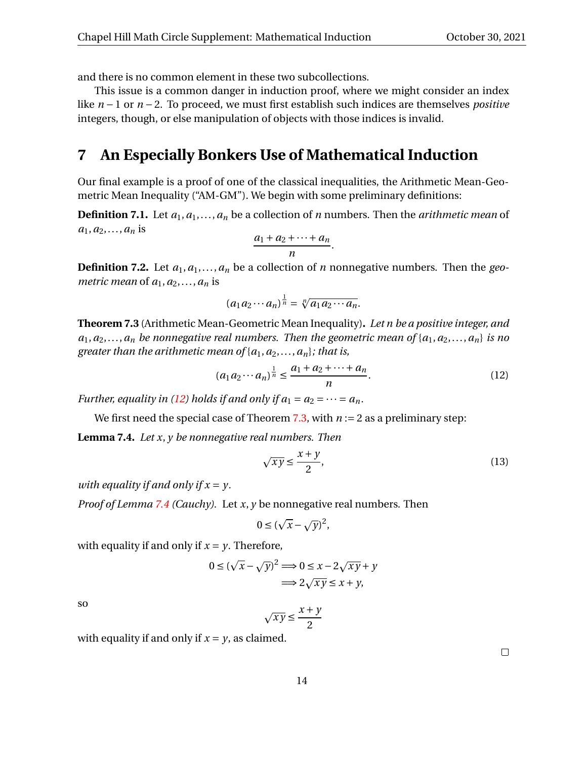and there is no common element in these two subcollections.

This issue is a common danger in induction proof, where we might consider an index like *n* − 1 or *n* − 2. To proceed, we must first establish such indices are themselves *positive* integers, though, or else manipulation of objects with those indices is invalid.

## **7 An Especially Bonkers Use of Mathematical Induction**

Our final example is a proof of one of the classical inequalities, the Arithmetic Mean-Geometric Mean Inequality ("AM-GM"). We begin with some preliminary definitions:

**Definition 7.1.** Let  $a_1, a_1, \ldots, a_n$  be a collection of *n* numbers. Then the *arithmetic mean* of  $a_1, a_2, \ldots, a_n$  is

$$
\frac{a_1+a_2+\cdots+a_n}{n}.
$$

**Definition 7.2.** Let  $a_1, a_1, \ldots, a_n$  be a collection of *n* nonnegative numbers. Then the *geometric mean* of  $a_1, a_2, \ldots, a_n$  is

<span id="page-13-0"></span>
$$
(a_1a_2\cdots a_n)^{\frac{1}{n}}=\sqrt[n]{a_1a_2\cdots a_n}.
$$

<span id="page-13-1"></span>**Theorem 7.3** (Arithmetic Mean-Geometric Mean Inequality)**.** *Let n be a positive integer, and*  $a_1, a_2, \ldots, a_n$  *be nonnegative real numbers. Then the geometric mean of*  $\{a_1, a_2, \ldots, a_n\}$  *is no greater than the arithmetic mean of*  $\{a_1, a_2, \ldots, a_n\}$ *; that is,* 

$$
(a_1 a_2 \cdots a_n)^{\frac{1}{n}} \le \frac{a_1 + a_2 + \cdots + a_n}{n}.
$$
 (12)

*Further, equality in [\(12\)](#page-13-0) holds if and only if*  $a_1 = a_2 = \cdots = a_n$ *.* 

We first need the special case of Theorem [7.3,](#page-13-1) with  $n := 2$  as a preliminary step:

<span id="page-13-2"></span>**Lemma 7.4.** *Let x*, *y be nonnegative real numbers. Then*

$$
\sqrt{xy} \le \frac{x+y}{2},\tag{13}
$$

*with equality if and only if x* = *y.*

*Proof of Lemma [7.4](#page-13-2) (Cauchy).* Let *x*, *y* be nonnegative real numbers. Then

$$
0 \leq (\sqrt{x} - \sqrt{y})^2,
$$

with equality if and only if  $x = y$ . Therefore, p

$$
0 \le (\sqrt{x} - \sqrt{y})^2 \Longrightarrow 0 \le x - 2\sqrt{xy} + y
$$

$$
\Longrightarrow 2\sqrt{xy} \le x + y,
$$

so

$$
\sqrt{xy} \le \frac{x+y}{2}
$$

with equality if and only if  $x = y$ , as claimed.

 $\Box$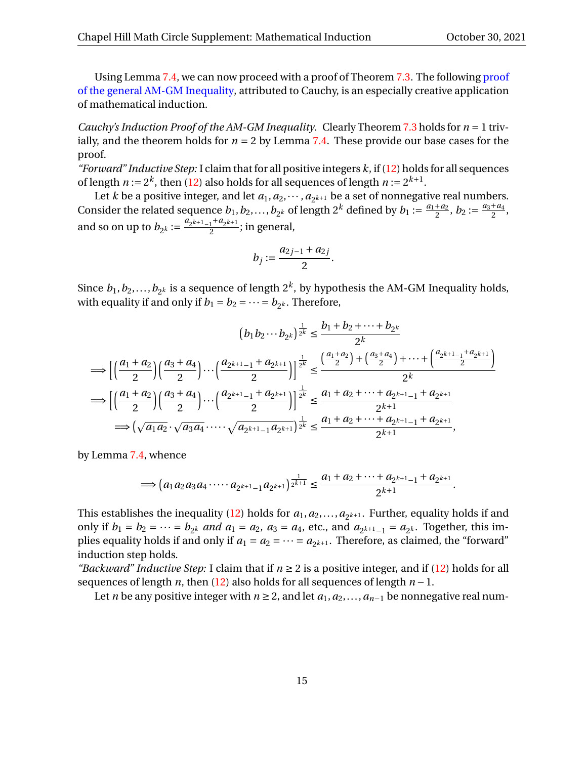.

Using Lemma [7.4,](#page-13-2) we can now proceed with a proof of Theorem [7.3.](#page-13-1) The following [proof](https://en.wikipedia.org/wiki/Inequality_of_arithmetic_and_geometric_means#Proof_by_Cauchy_using_forward%E2%80%93backward_induction) [of the general AM-GM Inequality,](https://en.wikipedia.org/wiki/Inequality_of_arithmetic_and_geometric_means#Proof_by_Cauchy_using_forward%E2%80%93backward_induction) attributed to Cauchy, is an especially creative application of mathematical induction.

*Cauchy's Induction Proof of the AM-GM Inequality.* Clearly Theorem [7.3](#page-13-1) holds for *n* = 1 trivially, and the theorem holds for  $n = 2$  by Lemma [7.4.](#page-13-2) These provide our base cases for the proof.

*"Forward" Inductive Step:* I claim that for all positive integers *k*, if [\(12\)](#page-13-0) holds for all sequences of length  $n := 2^k$ , then [\(12\)](#page-13-0) also holds for all sequences of length  $n := 2^{k+1}$ .

Let *k* be a positive integer, and let  $a_1, a_2, \dots, a_{2^{k+1}}$  be a set of nonnegative real numbers. Consider the related sequence  $b_1, b_2, ..., b_{2k}$  of length 2<sup>k</sup> defined by  $b_1 := \frac{a_1 + a_2}{2}$  $\frac{a_2}{2}$ ,  $b_2 := \frac{a_3 + a_4}{2}$  $\frac{1}{2}^{u_4},$ and so on up to  $b_{2^k} := \frac{a_{2^{k+1}-1} + a_{2^{k+1}}}{2}$  $\frac{1+\alpha_2\kappa+1}{2}$ ; in general,

$$
b_j := \frac{a_{2j-1} + a_{2j}}{2}.
$$

Since  $b_1, b_2,...,b_{2^k}$  is a sequence of length  $2^k$ , by hypothesis the AM-GM Inequality holds, with equality if and only if  $b_1 = b_2 = \cdots = b_{2^k}$ . Therefore,

$$
(b_1b_2\cdots b_{2^k})^{\frac{1}{2^k}} \leq \frac{b_1+b_2+\cdots+b_{2^k}}{2^k}
$$
  
\n
$$
\implies \left[\left(\frac{a_1+a_2}{2}\right)\left(\frac{a_3+a_4}{2}\right)\cdots\left(\frac{a_{2^{k+1}-1}+a_{2^{k+1}}}{2}\right)\right]^{\frac{1}{2^k}} \leq \frac{\left(\frac{a_1+a_2}{2}\right)+\left(\frac{a_3+a_4}{2}\right)+\cdots+\left(\frac{a_{2^{k+1}-1}+a_{2^{k+1}}}{2}\right)}{2^k}
$$
  
\n
$$
\implies \left[\left(\frac{a_1+a_2}{2}\right)\left(\frac{a_3+a_4}{2}\right)\cdots\left(\frac{a_{2^{k+1}-1}+a_{2^{k+1}}}{2}\right)\right]^{\frac{1}{2^k}} \leq \frac{a_1+a_2+\cdots+a_{2^{k+1}-1}+a_{2^{k+1}}}{2^{k+1}}
$$
  
\n
$$
\implies \left(\sqrt{a_1a_2}\cdot\sqrt{a_3a_4}\cdot\cdots\sqrt{a_{2^{k+1}-1}a_{2^{k+1}}}\right)^{\frac{1}{2^k}} \leq \frac{a_1+a_2+\cdots+a_{2^{k+1}-1}+a_{2^{k+1}}}{2^{k+1}},
$$

by Lemma [7.4,](#page-13-2) whence

$$
\implies \left(a_1a_2a_3a_4\cdots a_{2^{k+1}-1}a_{2^{k+1}}\right)^{\frac{1}{2^{k+1}}} \leq \frac{a_1+a_2+\cdots+a_{2^{k+1}-1}+a_{2^{k+1}}}{2^{k+1}}
$$

This establishes the inequality [\(12\)](#page-13-0) holds for  $a_1, a_2, \ldots, a_{2^{k+1}}$ . Further, equality holds if and only if  $b_1 = b_2 = \cdots = b_{2^k}$  *and*  $a_1 = a_2$ ,  $a_3 = a_4$ , etc., and  $a_{2^{k+1}-1} = a_{2^k}$ . Together, this implies equality holds if and only if  $a_1 = a_2 = \cdots = a_{2^{k+1}}$ . Therefore, as claimed, the "forward" induction step holds.

*"Backward" Inductive Step:* I claim that if  $n \ge 2$  is a positive integer, and if [\(12\)](#page-13-0) holds for all sequences of length *n*, then [\(12\)](#page-13-0) also holds for all sequences of length *n* −1.

Let *n* be any positive integer with *n* ≥ 2, and let  $a_1, a_2, ..., a_{n-1}$  be nonnegative real num-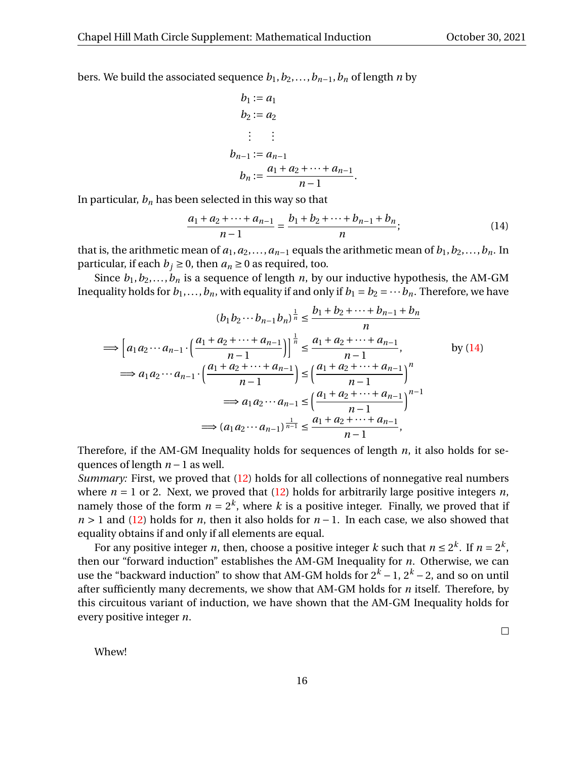$\Box$ 

bers. We build the associated sequence  $b_1, b_2, \ldots, b_{n-1}, b_n$  of length *n* by

<span id="page-15-0"></span>
$$
b_1 := a_1
$$
  
\n
$$
b_2 := a_2
$$
  
\n
$$
\vdots \quad \vdots
$$
  
\n
$$
b_{n-1} := a_{n-1}
$$
  
\n
$$
b_n := \frac{a_1 + a_2 + \dots + a_{n-1}}{n-1}.
$$

In particular,  $b_n$  has been selected in this way so that

$$
\frac{a_1 + a_2 + \dots + a_{n-1}}{n-1} = \frac{b_1 + b_2 + \dots + b_{n-1} + b_n}{n};
$$
\n(14)

that is, the arithmetic mean of  $a_1, a_2, \ldots, a_{n-1}$  equals the arithmetic mean of  $b_1, b_2, \ldots, b_n$ . In particular, if each  $b_j \ge 0$ , then  $a_n \ge 0$  as required, too.

Since  $b_1, b_2, \ldots, b_n$  is a sequence of length *n*, by our inductive hypothesis, the AM-GM Inequality holds for  $b_1, \ldots, b_n$ , with equality if and only if  $b_1 = b_2 = \cdots b_n$ . Therefore, we have

$$
(b_1 b_2 \cdots b_{n-1} b_n)^{\frac{1}{n}} \le \frac{b_1 + b_2 + \cdots + b_{n-1} + b_n}{n}
$$
  
\n
$$
\implies \left[ a_1 a_2 \cdots a_{n-1} \cdot \left( \frac{a_1 + a_2 + \cdots + a_{n-1}}{n-1} \right) \right]^{\frac{1}{n}} \le \frac{a_1 + a_2 + \cdots + a_{n-1}}{n-1}, \qquad \text{by (14)}
$$
  
\n
$$
\implies a_1 a_2 \cdots a_{n-1} \cdot \left( \frac{a_1 + a_2 + \cdots + a_{n-1}}{n-1} \right) \le \left( \frac{a_1 + a_2 + \cdots + a_{n-1}}{n-1} \right)^n
$$
  
\n
$$
\implies a_1 a_2 \cdots a_{n-1} \le \left( \frac{a_1 + a_2 + \cdots + a_{n-1}}{n-1} \right)^{n-1}
$$
  
\n
$$
\implies (a_1 a_2 \cdots a_{n-1})^{\frac{1}{n-1}} \le \frac{a_1 + a_2 + \cdots + a_{n-1}}{n-1},
$$

Therefore, if the AM-GM Inequality holds for sequences of length *n*, it also holds for sequences of length *n* −1 as well.

*Summary:* First, we proved that [\(12\)](#page-13-0) holds for all collections of nonnegative real numbers where  $n = 1$  or 2. Next, we proved that  $(12)$  holds for arbitrarily large positive integers *n*, namely those of the form  $n = 2^k$ , where  $k$  is a positive integer. Finally, we proved that if *n* > 1 and [\(12\)](#page-13-0) holds for *n*, then it also holds for *n* − 1. In each case, we also showed that equality obtains if and only if all elements are equal.

For any positive integer *n*, then, choose a positive integer *k* such that  $n \le 2^k$ . If  $n = 2^k$ , then our "forward induction" establishes the AM-GM Inequality for *n*. Otherwise, we can use the "backward induction" to show that AM-GM holds for  $2^k - 1$ ,  $2^k - 2$ , and so on until after sufficiently many decrements, we show that AM-GM holds for *n* itself. Therefore, by this circuitous variant of induction, we have shown that the AM-GM Inequality holds for every positive integer *n*.

Whew!